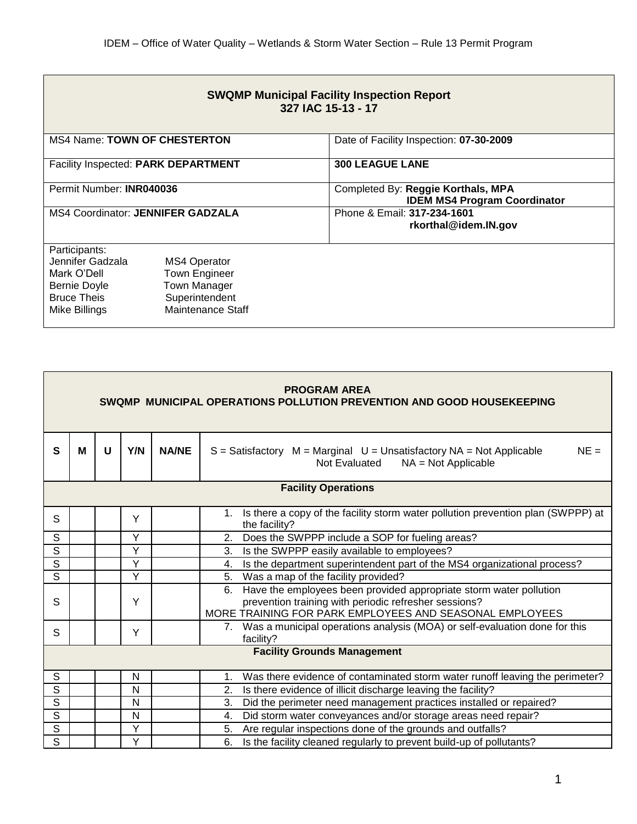| <b>SWQMP Municipal Facility Inspection Report</b><br>327 IAC 15-13 - 17                                        |                                                                                                    |                                                                           |  |  |  |  |
|----------------------------------------------------------------------------------------------------------------|----------------------------------------------------------------------------------------------------|---------------------------------------------------------------------------|--|--|--|--|
| <b>MS4 Name: TOWN OF CHESTERTON</b>                                                                            |                                                                                                    | Date of Facility Inspection: 07-30-2009                                   |  |  |  |  |
| Facility Inspected: PARK DEPARTMENT                                                                            |                                                                                                    | <b>300 LEAGUE LANE</b>                                                    |  |  |  |  |
| Permit Number: INR040036                                                                                       |                                                                                                    | Completed By: Reggie Korthals, MPA<br><b>IDEM MS4 Program Coordinator</b> |  |  |  |  |
| <b>MS4 Coordinator: JENNIFER GADZALA</b>                                                                       |                                                                                                    | Phone & Email: 317-234-1601<br>rkorthal@idem.IN.gov                       |  |  |  |  |
| Participants:<br>Jennifer Gadzala<br>Mark O'Dell<br><b>Bernie Doyle</b><br><b>Bruce Theis</b><br>Mike Billings | <b>MS4 Operator</b><br><b>Town Engineer</b><br>Town Manager<br>Superintendent<br>Maintenance Staff |                                                                           |  |  |  |  |

| <b>PROGRAM AREA</b><br>SWQMP MUNICIPAL OPERATIONS POLLUTION PREVENTION AND GOOD HOUSEKEEPING |   |   |     |              |                                                                                                                                                                                              |  |  |
|----------------------------------------------------------------------------------------------|---|---|-----|--------------|----------------------------------------------------------------------------------------------------------------------------------------------------------------------------------------------|--|--|
| $\mathbf{s}$                                                                                 | M | U | Y/N | <b>NA/NE</b> | $NE =$<br>$S = S$ atisfactory $M = Marginal$ $U = Unsatisfactory NA = Not Applied$<br>Not Evaluated<br>$NA = Not Applicable$                                                                 |  |  |
| <b>Facility Operations</b>                                                                   |   |   |     |              |                                                                                                                                                                                              |  |  |
| S                                                                                            |   |   | Y   |              | 1. Is there a copy of the facility storm water pollution prevention plan (SWPPP) at<br>the facility?                                                                                         |  |  |
| $\mathsf{S}$                                                                                 |   |   | Y   |              | Does the SWPPP include a SOP for fueling areas?<br>2.                                                                                                                                        |  |  |
| $\overline{s}$                                                                               |   |   | Y   |              | Is the SWPPP easily available to employees?<br>3.                                                                                                                                            |  |  |
| $\overline{s}$                                                                               |   |   | Y   |              | Is the department superintendent part of the MS4 organizational process?<br>4.                                                                                                               |  |  |
| $\mathsf{S}$                                                                                 |   |   | Y   |              | Was a map of the facility provided?<br>5.                                                                                                                                                    |  |  |
| S                                                                                            |   |   | Y   |              | Have the employees been provided appropriate storm water pollution<br>6.<br>prevention training with periodic refresher sessions?<br>MORE TRAINING FOR PARK EMPLOYEES AND SEASONAL EMPLOYEES |  |  |
| S                                                                                            |   |   | Y   |              | 7. Was a municipal operations analysis (MOA) or self-evaluation done for this<br>facility?                                                                                                   |  |  |
| <b>Facility Grounds Management</b>                                                           |   |   |     |              |                                                                                                                                                                                              |  |  |
| $\mathsf S$                                                                                  |   |   | N   |              | Was there evidence of contaminated storm water runoff leaving the perimeter?<br>1.                                                                                                           |  |  |
| $\overline{s}$                                                                               |   |   | N   |              | Is there evidence of illicit discharge leaving the facility?<br>2.                                                                                                                           |  |  |
| $\mathsf S$                                                                                  |   |   | N   |              | Did the perimeter need management practices installed or repaired?<br>3.                                                                                                                     |  |  |
| $\overline{s}$                                                                               |   |   | N   |              | Did storm water conveyances and/or storage areas need repair?<br>4.                                                                                                                          |  |  |
| $\overline{s}$                                                                               |   |   | Y   |              | Are regular inspections done of the grounds and outfalls?<br>5.                                                                                                                              |  |  |
| S                                                                                            |   |   | Y   |              | Is the facility cleaned regularly to prevent build-up of pollutants?<br>6.                                                                                                                   |  |  |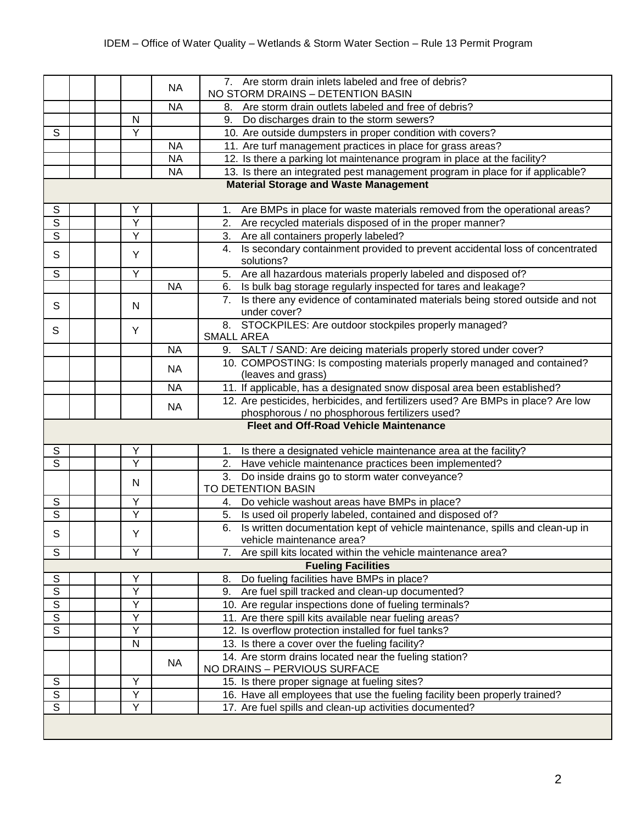|                                               |  |                     | <b>NA</b> | 7. Are storm drain inlets labeled and free of debris?                                            |  |  |
|-----------------------------------------------|--|---------------------|-----------|--------------------------------------------------------------------------------------------------|--|--|
|                                               |  |                     |           | NO STORM DRAINS - DETENTION BASIN                                                                |  |  |
|                                               |  |                     | <b>NA</b> | Are storm drain outlets labeled and free of debris?<br>8.                                        |  |  |
|                                               |  | N                   |           | 9.<br>Do discharges drain to the storm sewers?                                                   |  |  |
| $\mathbb S$                                   |  | Y                   |           | 10. Are outside dumpsters in proper condition with covers?                                       |  |  |
|                                               |  |                     | <b>NA</b> | 11. Are turf management practices in place for grass areas?                                      |  |  |
|                                               |  |                     | <b>NA</b> | 12. Is there a parking lot maintenance program in place at the facility?                         |  |  |
|                                               |  |                     | <b>NA</b> | 13. Is there an integrated pest management program in place for if applicable?                   |  |  |
| <b>Material Storage and Waste Management</b>  |  |                     |           |                                                                                                  |  |  |
| $\mathbb S$                                   |  | Υ                   |           | Are BMPs in place for waste materials removed from the operational areas?<br>1.                  |  |  |
| $\overline{S}$                                |  | Y                   |           | Are recycled materials disposed of in the proper manner?<br>2.                                   |  |  |
| S                                             |  | Υ                   |           | Are all containers properly labeled?<br>3.                                                       |  |  |
| S                                             |  | Y                   |           | Is secondary containment provided to prevent accidental loss of concentrated<br>4.<br>solutions? |  |  |
| $\overline{s}$                                |  | Y                   |           | 5.<br>Are all hazardous materials properly labeled and disposed of?                              |  |  |
|                                               |  |                     | <b>NA</b> | Is bulk bag storage regularly inspected for tares and leakage?<br>6.                             |  |  |
| S                                             |  | N                   |           | 7. Is there any evidence of contaminated materials being stored outside and not                  |  |  |
|                                               |  |                     |           | under cover?                                                                                     |  |  |
| S                                             |  | Y                   |           | 8. STOCKPILES: Are outdoor stockpiles properly managed?                                          |  |  |
|                                               |  |                     |           | <b>SMALL AREA</b>                                                                                |  |  |
|                                               |  |                     | <b>NA</b> | 9. SALT / SAND: Are deicing materials properly stored under cover?                               |  |  |
|                                               |  |                     | <b>NA</b> | 10. COMPOSTING: Is composting materials properly managed and contained?                          |  |  |
|                                               |  |                     |           | (leaves and grass)                                                                               |  |  |
|                                               |  |                     | <b>NA</b> | 11. If applicable, has a designated snow disposal area been established?                         |  |  |
|                                               |  |                     | <b>NA</b> | 12. Are pesticides, herbicides, and fertilizers used? Are BMPs in place? Are low                 |  |  |
|                                               |  |                     |           | phosphorous / no phosphorous fertilizers used?                                                   |  |  |
| <b>Fleet and Off-Road Vehicle Maintenance</b> |  |                     |           |                                                                                                  |  |  |
| S                                             |  | Υ                   |           | Is there a designated vehicle maintenance area at the facility?<br>1.                            |  |  |
| $\overline{s}$                                |  | $\overline{Y}$      |           | Have vehicle maintenance practices been implemented?<br>2.                                       |  |  |
|                                               |  | N                   |           | 3.<br>Do inside drains go to storm water conveyance?                                             |  |  |
|                                               |  |                     |           | TO DETENTION BASIN                                                                               |  |  |
| $\mathbb S$                                   |  | Υ                   |           | Do vehicle washout areas have BMPs in place?<br>4.                                               |  |  |
| $\mathbf S$                                   |  | Υ                   |           | Is used oil properly labeled, contained and disposed of?<br>5.                                   |  |  |
| S                                             |  | Υ                   |           | Is written documentation kept of vehicle maintenance, spills and clean-up in<br>6.               |  |  |
|                                               |  |                     |           | vehicle maintenance area?                                                                        |  |  |
| $\overline{s}$                                |  | Υ                   |           | Are spill kits located within the vehicle maintenance area?<br>7.                                |  |  |
|                                               |  |                     |           | <b>Fueling Facilities</b>                                                                        |  |  |
| ${\mathsf S}$<br>$\overline{s}$               |  | Υ<br>$\overline{Y}$ |           | Do fueling facilities have BMPs in place?<br>8.                                                  |  |  |
|                                               |  | Υ                   |           | Are fuel spill tracked and clean-up documented?<br>9.                                            |  |  |
| $\overline{\mathsf{s}}$                       |  | Υ                   |           | 10. Are regular inspections done of fueling terminals?                                           |  |  |
| $\overline{s}$                                |  |                     |           | 11. Are there spill kits available near fueling areas?                                           |  |  |
| S                                             |  | Υ<br>N              |           | 12. Is overflow protection installed for fuel tanks?                                             |  |  |
|                                               |  |                     |           | 13. Is there a cover over the fueling facility?                                                  |  |  |
|                                               |  |                     | <b>NA</b> | 14. Are storm drains located near the fueling station?<br>NO DRAINS - PERVIOUS SURFACE           |  |  |
| $\mathbb S$                                   |  | Y                   |           | 15. Is there proper signage at fueling sites?                                                    |  |  |
| $\overline{\mathsf{s}}$                       |  | Y                   |           | 16. Have all employees that use the fueling facility been properly trained?                      |  |  |
| $\overline{\mathsf{s}}$                       |  | Y                   |           | 17. Are fuel spills and clean-up activities documented?                                          |  |  |
|                                               |  |                     |           |                                                                                                  |  |  |